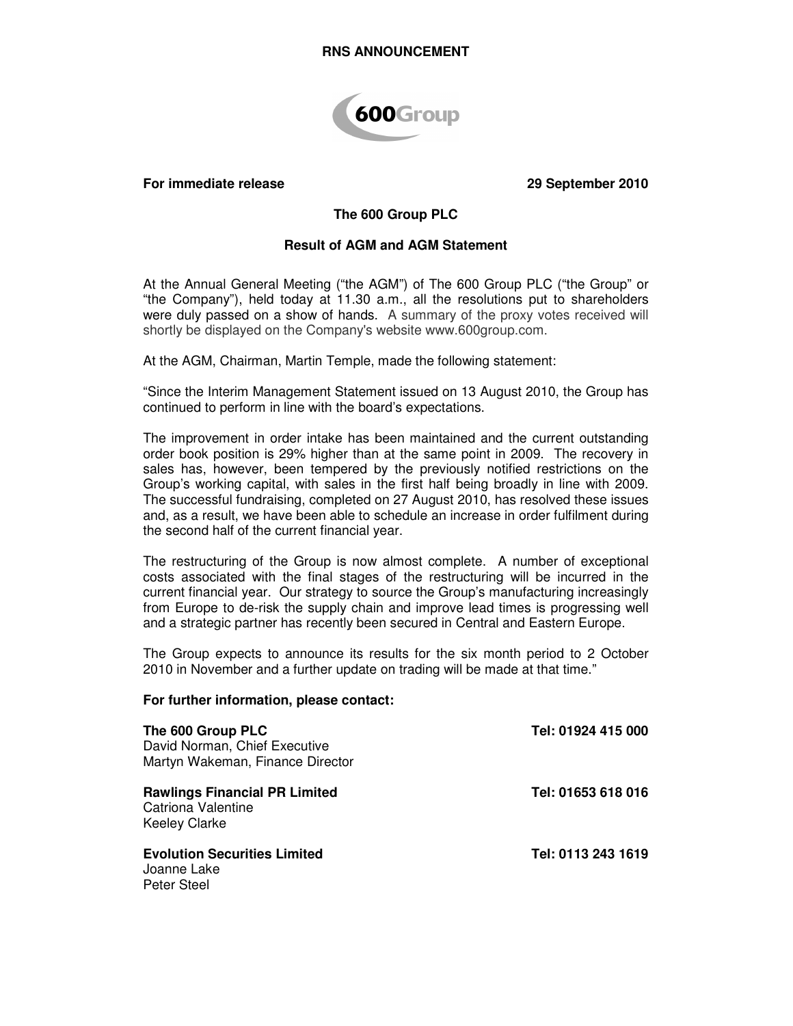

#### **For immediate release 29 September 2010**

# **The 600 Group PLC**

## **Result of AGM and AGM Statement**

At the Annual General Meeting ("the AGM") of The 600 Group PLC ("the Group" or "the Company"), held today at 11.30 a.m., all the resolutions put to shareholders were duly passed on a show of hands. A summary of the proxy votes received will shortly be displayed on the Company's website www.600group.com.

At the AGM, Chairman, Martin Temple, made the following statement:

"Since the Interim Management Statement issued on 13 August 2010, the Group has continued to perform in line with the board's expectations.

The improvement in order intake has been maintained and the current outstanding order book position is 29% higher than at the same point in 2009. The recovery in sales has, however, been tempered by the previously notified restrictions on the Group's working capital, with sales in the first half being broadly in line with 2009. The successful fundraising, completed on 27 August 2010, has resolved these issues and, as a result, we have been able to schedule an increase in order fulfilment during the second half of the current financial year.

The restructuring of the Group is now almost complete. A number of exceptional costs associated with the final stages of the restructuring will be incurred in the current financial year. Our strategy to source the Group's manufacturing increasingly from Europe to de-risk the supply chain and improve lead times is progressing well and a strategic partner has recently been secured in Central and Eastern Europe.

The Group expects to announce its results for the six month period to 2 October 2010 in November and a further update on trading will be made at that time."

#### **For further information, please contact:**

| The 600 Group PLC<br>David Norman, Chief Executive<br>Martyn Wakeman, Finance Director    | Tel: 01924 415 000 |
|-------------------------------------------------------------------------------------------|--------------------|
| <b>Rawlings Financial PR Limited</b><br><b>Catriona Valentine</b><br><b>Keeley Clarke</b> | Tel: 01653 618 016 |
| <b>Evolution Securities Limited</b><br>Joanne Lake<br>Peter Steel                         | Tel: 0113 243 1619 |